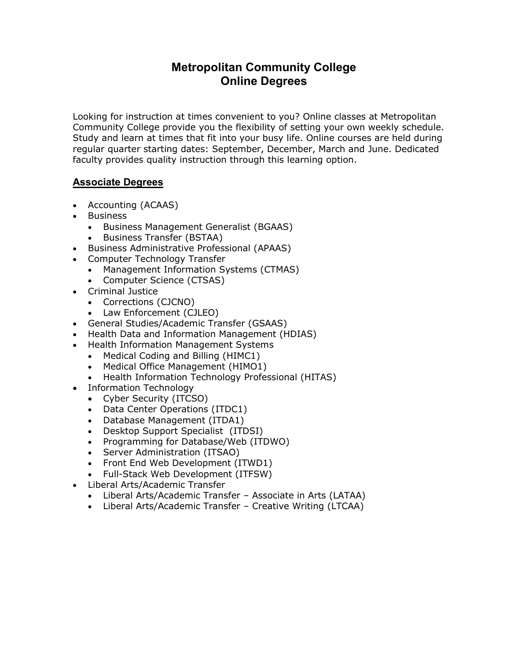# **Metropolitan Community College Online Degrees**

Looking for instruction at times convenient to you? Online classes at Metropolitan Community College provide you the flexibility of setting your own weekly schedule. Study and learn at times that fit into your busy life. Online courses are held during regular quarter starting dates: September, December, March and June. Dedicated faculty provides quality instruction through this learning option.

#### **Associate Degrees**

- Accounting (ACAAS)
- Business
	- Business Management Generalist (BGAAS)
	- [Business Transfer](http://www.mccneb.edu/catalog/programs/transform.asp?program=BSTAA) (BSTAA)
- Business Administrative Professional (APAAS)
- Computer Technology Transfer
	- Management Information Systems (CTMAS)
	- Computer Science (CTSAS)
- [Criminal Justice](http://www.mccneb.edu/catalog/programs/transform.asp?program=CJAAS)
	- Corrections (CJCNO)
	- Law Enforcement (CJLEO)
- General Studies/Academic Transfer (GSAAS)
- Health Data and Information Management (HDIAS)
- [Health Information Management Systems](http://www.mccneb.edu/catalog/programs/transform.asp?program=HIMAS)
	- Medical Coding and Billing (HIMC1)
		- Medical Office Management (HIMO1)
	- Health Information Technology Professional (HITAS)
- [Information Technology](http://www.mccneb.edu/catalog/programs/transform.asp?program=ITAAS)
	- Cyber Security (ITCSO)
	- Data Center Operations (ITDC1)
	- Database Management (ITDA1)
	- Desktop Support Specialist (ITDSI)
	- Programming for Database/Web (ITDWO)
	- Server Administration (ITSAO)
	- Front End Web Development (ITWD1)
	- Full-Stack Web Development (ITFSW)
- [Liberal Arts/Academic Transfer](http://www.mccneb.edu/catalog/programs/transform.asp?program=LATAA)
	- [Liberal Arts/Academic Transfer](http://www.mccneb.edu/catalog/programs/transform.asp?program=LATAA) Associate in Arts (LATAA)
	- [Liberal Arts/Academic Transfer](http://www.mccneb.edu/catalog/programs/transform.asp?program=LATAS) Creative Writing (LTCAA)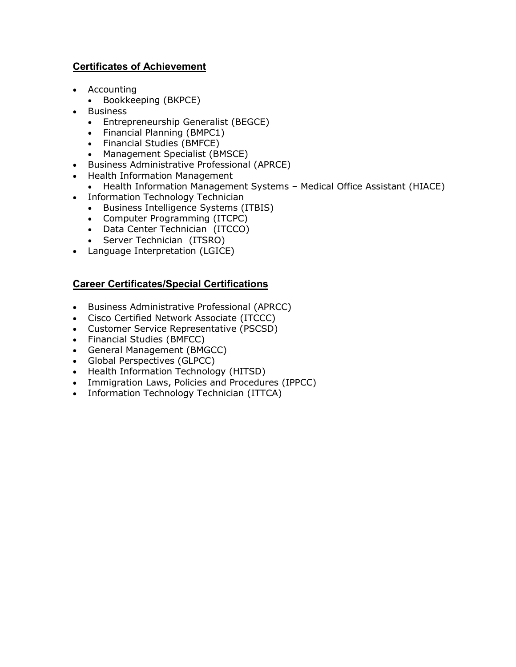### **Certificates of Achievement**

- Accounting
	- Bookkeeping (BKPCE)
- Business
	- Entrepreneurship Generalist (BEGCE)
	- Financial Planning (BMPC1)
	- Financial Studies (BMFCE)
	- Management Specialist (BMSCE)
- Business Administrative Professional (APRCE)
- Health Information Management
	- Health Information Management Systems Medical Office Assistant (HIACE)
- Information Technology Technician
	- Business Intelligence Systems (ITBIS)
	- Computer Programming (ITCPC)
	- Data Center Technician (ITCCO)
	- Server Technician (ITSRO)
- Language Interpretation (LGICE)

## **Career Certificates/Special Certifications**

- Business Administrative Professional (APRCC)
- Cisco Certified Network Associate (ITCCC)
- Customer Service Representative (PSCSD)
- Financial Studies (BMFCC)
- General Management (BMGCC)
- Global Perspectives (GLPCC)
- Health Information Technology (HITSD)
- Immigration Laws, Policies and Procedures (IPPCC)
- Information Technology Technician (ITTCA)